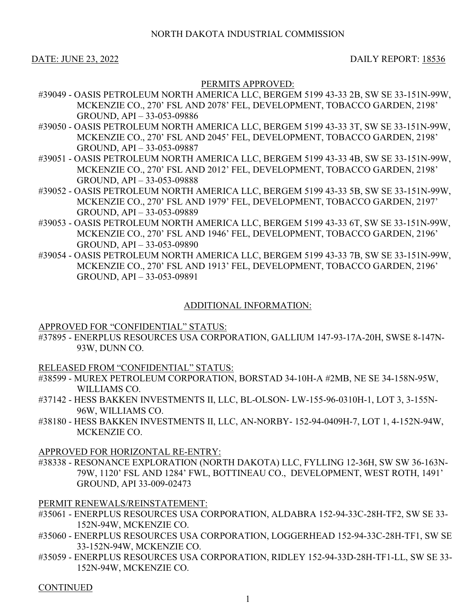DATE: JUNE 23, 2022 DAILY REPORT: 18536

# PERMITS APPROVED:

- #39049 OASIS PETROLEUM NORTH AMERICA LLC, BERGEM 5199 43-33 2B, SW SE 33-151N-99W, MCKENZIE CO., 270' FSL AND 2078' FEL, DEVELOPMENT, TOBACCO GARDEN, 2198' GROUND, API – 33-053-09886
- #39050 OASIS PETROLEUM NORTH AMERICA LLC, BERGEM 5199 43-33 3T, SW SE 33-151N-99W, MCKENZIE CO., 270' FSL AND 2045' FEL, DEVELOPMENT, TOBACCO GARDEN, 2198' GROUND, API – 33-053-09887
- #39051 OASIS PETROLEUM NORTH AMERICA LLC, BERGEM 5199 43-33 4B, SW SE 33-151N-99W, MCKENZIE CO., 270' FSL AND 2012' FEL, DEVELOPMENT, TOBACCO GARDEN, 2198' GROUND, API – 33-053-09888
- #39052 OASIS PETROLEUM NORTH AMERICA LLC, BERGEM 5199 43-33 5B, SW SE 33-151N-99W, MCKENZIE CO., 270' FSL AND 1979' FEL, DEVELOPMENT, TOBACCO GARDEN, 2197' GROUND, API – 33-053-09889
- #39053 OASIS PETROLEUM NORTH AMERICA LLC, BERGEM 5199 43-33 6T, SW SE 33-151N-99W, MCKENZIE CO., 270' FSL AND 1946' FEL, DEVELOPMENT, TOBACCO GARDEN, 2196' GROUND, API – 33-053-09890
- #39054 OASIS PETROLEUM NORTH AMERICA LLC, BERGEM 5199 43-33 7B, SW SE 33-151N-99W, MCKENZIE CO., 270' FSL AND 1913' FEL, DEVELOPMENT, TOBACCO GARDEN, 2196' GROUND, API – 33-053-09891

# ADDITIONAL INFORMATION:

# APPROVED FOR "CONFIDENTIAL" STATUS:

#37895 - ENERPLUS RESOURCES USA CORPORATION, GALLIUM 147-93-17A-20H, SWSE 8-147N-93W, DUNN CO.

# RELEASED FROM "CONFIDENTIAL" STATUS:

- #38599 MUREX PETROLEUM CORPORATION, BORSTAD 34-10H-A #2MB, NE SE 34-158N-95W, WILLIAMS CO.
- #37142 HESS BAKKEN INVESTMENTS II, LLC, BL-OLSON- LW-155-96-0310H-1, LOT 3, 3-155N-96W, WILLIAMS CO.
- #38180 HESS BAKKEN INVESTMENTS II, LLC, AN-NORBY- 152-94-0409H-7, LOT 1, 4-152N-94W, MCKENZIE CO.

### APPROVED FOR HORIZONTAL RE-ENTRY:

#38338 - RESONANCE EXPLORATION (NORTH DAKOTA) LLC, FYLLING 12-36H, SW SW 36-163N-79W, 1120' FSL AND 1284' FWL, BOTTINEAU CO., DEVELOPMENT, WEST ROTH, 1491' GROUND, API 33-009-02473

# PERMIT RENEWALS/REINSTATEMENT:

- #35061 ENERPLUS RESOURCES USA CORPORATION, ALDABRA 152-94-33C-28H-TF2, SW SE 33- 152N-94W, MCKENZIE CO.
- #35060 ENERPLUS RESOURCES USA CORPORATION, LOGGERHEAD 152-94-33C-28H-TF1, SW SE 33-152N-94W, MCKENZIE CO.
- #35059 ENERPLUS RESOURCES USA CORPORATION, RIDLEY 152-94-33D-28H-TF1-LL, SW SE 33- 152N-94W, MCKENZIE CO.

# **CONTINUED**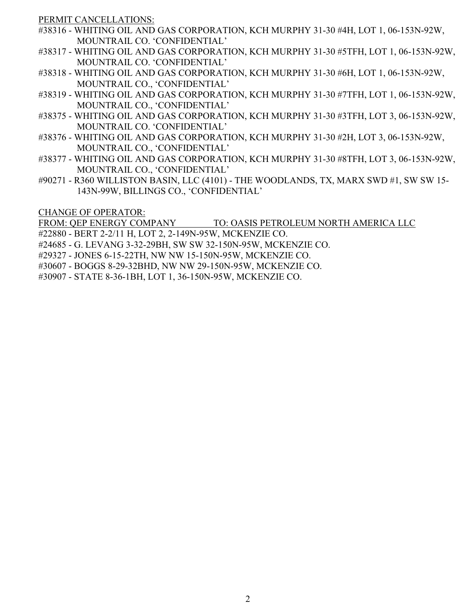PERMIT CANCELLATIONS:

- #38316 WHITING OIL AND GAS CORPORATION, KCH MURPHY 31-30 #4H, LOT 1, 06-153N-92W, MOUNTRAIL CO. 'CONFIDENTIAL'
- #38317 WHITING OIL AND GAS CORPORATION, KCH MURPHY 31-30 #5TFH, LOT 1, 06-153N-92W, MOUNTRAIL CO. 'CONFIDENTIAL'
- #38318 WHITING OIL AND GAS CORPORATION, KCH MURPHY 31-30 #6H, LOT 1, 06-153N-92W, MOUNTRAIL CO., 'CONFIDENTIAL'
- #38319 WHITING OIL AND GAS CORPORATION, KCH MURPHY 31-30 #7TFH, LOT 1, 06-153N-92W, MOUNTRAIL CO., 'CONFIDENTIAL'
- #38375 WHITING OIL AND GAS CORPORATION, KCH MURPHY 31-30 #3TFH, LOT 3, 06-153N-92W, MOUNTRAIL CO. 'CONFIDENTIAL'
- #38376 WHITING OIL AND GAS CORPORATION, KCH MURPHY 31-30 #2H, LOT 3, 06-153N-92W, MOUNTRAIL CO., 'CONFIDENTIAL'
- #38377 WHITING OIL AND GAS CORPORATION, KCH MURPHY 31-30 #8TFH, LOT 3, 06-153N-92W, MOUNTRAIL CO., 'CONFIDENTIAL'
- #90271 R360 WILLISTON BASIN, LLC (4101) THE WOODLANDS, TX, MARX SWD #1, SW SW 15- 143N-99W, BILLINGS CO., 'CONFIDENTIAL'

CHANGE OF OPERATOR:

FROM: QEP ENERGY COMPANY TO: OASIS PETROLEUM NORTH AMERICA LLC

#22880 - BERT 2-2/11 H, LOT 2, 2-149N-95W, MCKENZIE CO.

- #24685 G. LEVANG 3-32-29BH, SW SW 32-150N-95W, MCKENZIE CO.
- #29327 JONES 6-15-22TH, NW NW 15-150N-95W, MCKENZIE CO.
- #30607 BOGGS 8-29-32BHD, NW NW 29-150N-95W, MCKENZIE CO.

#30907 - STATE 8-36-1BH, LOT 1, 36-150N-95W, MCKENZIE CO.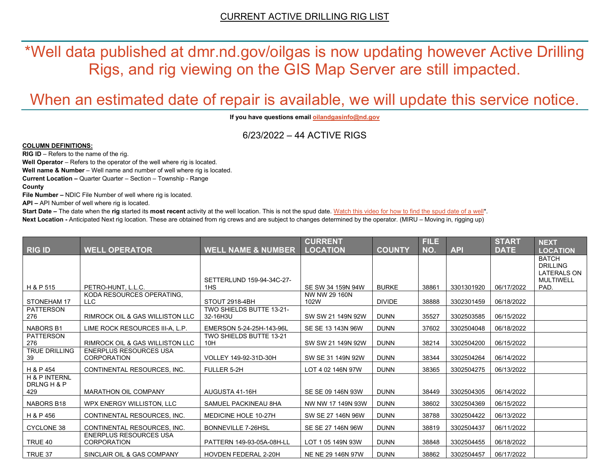\*Well data published at dmr.nd.gov/oilgas is now updating however Active Drilling Rigs, and rig viewing on the GIS Map Server are still impacted.

# When an estimated date of repair is available, we will update this service notice.

**If you have questions emai[l oilandgasinfo@nd.gov](mailto:oilandgasinfo@nd.gov)**

6/23/2022 – 44 ACTIVE RIGS

#### **COLUMN DEFINITIONS:**

**RIG ID** – Refers to the name of the rig.

**Well Operator** – Refers to the operator of the well where rig is located.

**Well name & Number** – Well name and number of well where rig is located.

**Current Location –** Quarter Quarter – Section – Township - Range

**County**

**File Number –** NDIC File Number of well where rig is located.

**API –** API Number of well where rig is located.

**Start Date** – The date when the **rig** started its most recent activity at the well location. This is not the spud date. Watch this video for how [to find the spud date of a well\\*](https://youtu.be/JjWwzuuMVpM). **Next Location -** Anticipated Next rig location. These are obtained from rig crews and are subject to changes determined by the operator. (MIRU – Moving in, rigging up)

|                                                |                                                     |                                       | <b>CURRENT</b>        |               | <b>FILE</b> |            | <b>START</b> | <b>NEXT</b>                                                               |
|------------------------------------------------|-----------------------------------------------------|---------------------------------------|-----------------------|---------------|-------------|------------|--------------|---------------------------------------------------------------------------|
| <b>RIG ID</b>                                  | <b>WELL OPERATOR</b>                                | <b>WELL NAME &amp; NUMBER</b>         | <b>LOCATION</b>       | <b>COUNTY</b> | NO.         | <b>API</b> | <b>DATE</b>  | <b>LOCATION</b>                                                           |
|                                                |                                                     | SETTERLUND 159-94-34C-27-             |                       |               |             |            |              | <b>BATCH</b><br><b>DRILLING</b><br><b>LATERALS ON</b><br><b>MULTIWELL</b> |
| H & P 515                                      | PETRO-HUNT, L.L.C.                                  | 1HS                                   | SE SW 34 159N 94W     | <b>BURKE</b>  | 38861       | 3301301920 | 06/17/2022   | PAD.                                                                      |
| STONEHAM 17                                    | KODA RESOURCES OPERATING,<br>LLC.                   | STOUT 2918-4BH                        | NW NW 29 160N<br>102W | <b>DIVIDE</b> | 38888       | 3302301459 | 06/18/2022   |                                                                           |
| <b>PATTERSON</b><br>276                        | <b>RIMROCK OIL &amp; GAS WILLISTON LLC</b>          | TWO SHIELDS BUTTE 13-21-<br>32-16H3U  | SW SW 21 149N 92W     | <b>DUNN</b>   | 35527       | 3302503585 | 06/15/2022   |                                                                           |
| <b>NABORS B1</b>                               | LIME ROCK RESOURCES III-A. L.P.                     | EMERSON 5-24-25H-143-96L              | SE SE 13 143N 96W     | <b>DUNN</b>   | 37602       | 3302504048 | 06/18/2022   |                                                                           |
| PATTERSON<br>276                               | <b>RIMROCK OIL &amp; GAS WILLISTON LLC</b>          | <b>TWO SHIELDS BUTTE 13-21</b><br>10H | SW SW 21 149N 92W     | <b>DUNN</b>   | 38214       | 3302504200 | 06/15/2022   |                                                                           |
| <b>TRUE DRILLING</b><br>39                     | <b>ENERPLUS RESOURCES USA</b><br><b>CORPORATION</b> | VOLLEY 149-92-31D-30H                 | SW SE 31 149N 92W     | <b>DUNN</b>   | 38344       | 3302504264 | 06/14/2022   |                                                                           |
| H & P 454                                      | CONTINENTAL RESOURCES. INC.                         | FULLER 5-2H                           | LOT 4 02 146N 97W     | <b>DUNN</b>   | 38365       | 3302504275 | 06/13/2022   |                                                                           |
| <b>H &amp; P INTERNL</b><br>DRLNG H & P<br>429 | <b>MARATHON OIL COMPANY</b>                         | AUGUSTA 41-16H                        | SE SE 09 146N 93W     | <b>DUNN</b>   | 38449       | 3302504305 | 06/14/2022   |                                                                           |
| <b>NABORS B18</b>                              | WPX ENERGY WILLISTON, LLC                           | SAMUEL PACKINEAU 8HA                  | NW NW 17 149N 93W     | <b>DUNN</b>   | 38602       | 3302504369 | 06/15/2022   |                                                                           |
| H & P 456                                      | CONTINENTAL RESOURCES. INC.                         | MEDICINE HOLE 10-27H                  | SW SE 27 146N 96W     | <b>DUNN</b>   | 38788       | 3302504422 | 06/13/2022   |                                                                           |
| <b>CYCLONE 38</b>                              | CONTINENTAL RESOURCES, INC.                         | <b>BONNEVILLE 7-26HSL</b>             | SE SE 27 146N 96W     | <b>DUNN</b>   | 38819       | 3302504437 | 06/11/2022   |                                                                           |
| TRUE 40                                        | <b>ENERPLUS RESOURCES USA</b><br><b>CORPORATION</b> | PATTERN 149-93-05A-08H-LL             | LOT 1 05 149N 93W     | <b>DUNN</b>   | 38848       | 3302504455 | 06/18/2022   |                                                                           |
| TRUE 37                                        | SINCLAIR OIL & GAS COMPANY                          | <b>HOVDEN FEDERAL 2-20H</b>           | NE NE 29 146N 97W     | <b>DUNN</b>   | 38862       | 3302504457 | 06/17/2022   |                                                                           |